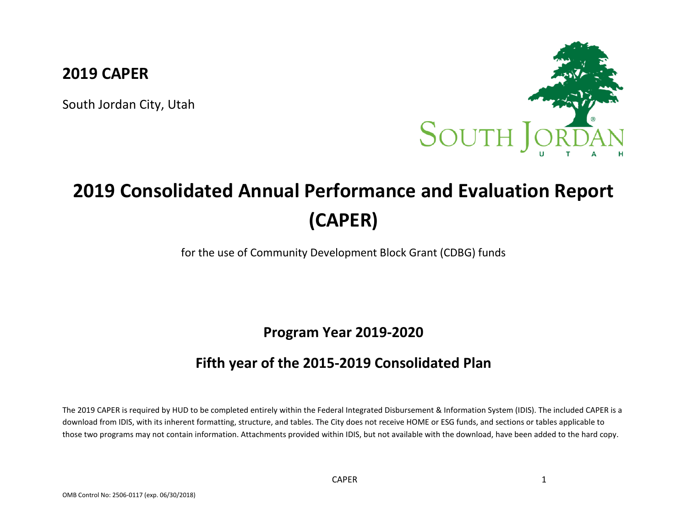# **2019 CAPER**

South Jordan City, Utah



# **2019 Consolidated Annual Performance and Evaluation Report (CAPER)**

for the use of Community Development Block Grant (CDBG) funds

**Program Year 2019-2020**

# **Fifth year of the 2015-2019 Consolidated Plan**

The 2019 CAPER is required by HUD to be completed entirely within the Federal Integrated Disbursement & Information System (IDIS). The included CAPER is a download from IDIS, with its inherent formatting, structure, and tables. The City does not receive HOME or ESG funds, and sections or tables applicable to those two programs may not contain information. Attachments provided within IDIS, but not available with the download, have been added to the hard copy.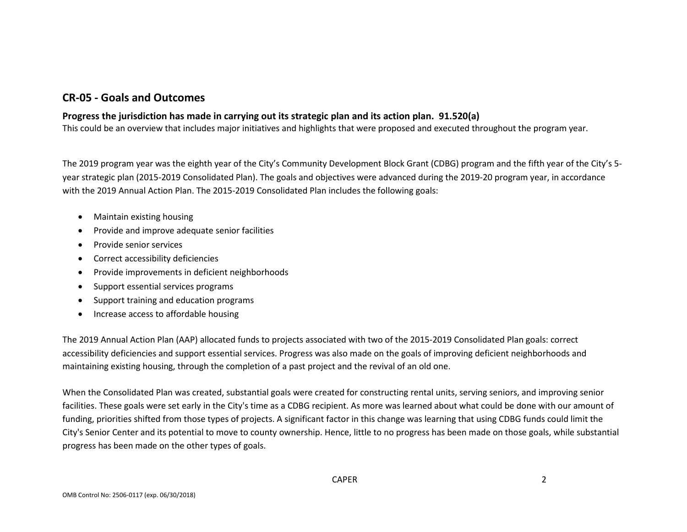# **CR-05 - Goals and Outcomes**

#### **Progress the jurisdiction has made in carrying out its strategic plan and its action plan. 91.520(a)**

This could be an overview that includes major initiatives and highlights that were proposed and executed throughout the program year.

The 2019 program year was the eighth year of the City's Community Development Block Grant (CDBG) program and the fifth year of the City's 5 year strategic plan (2015-2019 Consolidated Plan). The goals and objectives were advanced during the 2019-20 program year, in accordance with the 2019 Annual Action Plan. The 2015-2019 Consolidated Plan includes the following goals:

- Maintain existing housing
- Provide and improve adequate senior facilities
- Provide senior services
- Correct accessibility deficiencies
- Provide improvements in deficient neighborhoods
- Support essential services programs
- Support training and education programs
- Increase access to affordable housing

The 2019 Annual Action Plan (AAP) allocated funds to projects associated with two of the 2015-2019 Consolidated Plan goals: correct accessibility deficiencies and support essential services. Progress was also made on the goals of improving deficient neighborhoods and maintaining existing housing, through the completion of a past project and the revival of an old one.

When the Consolidated Plan was created, substantial goals were created for constructing rental units, serving seniors, and improving senior facilities. These goals were set early in the City's time as a CDBG recipient. As more was learned about what could be done with our amount of funding, priorities shifted from those types of projects. A significant factor in this change was learning that using CDBG funds could limit the City's Senior Center and its potential to move to county ownership. Hence, little to no progress has been made on those goals, while substantial progress has been made on the other types of goals.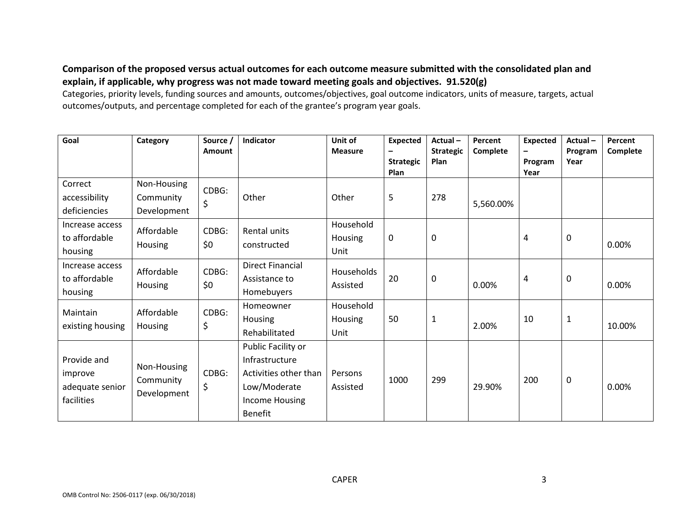#### **Comparison of the proposed versus actual outcomes for each outcome measure submitted with the consolidated plan and explain, if applicable, why progress was not made toward meeting goals and objectives. 91.520(g)**

Categories, priority levels, funding sources and amounts, outcomes/objectives, goal outcome indicators, units of measure, targets, actual outcomes/outputs, and percentage completed for each of the grantee's program year goals.

| Goal                                                    | Category                                | Source /<br>Amount | Indicator                                                                                                         | Unit of<br><b>Measure</b>           | <b>Expected</b><br><b>Strategic</b><br>Plan | Actual-<br><b>Strategic</b><br>Plan | Percent<br>Complete | <b>Expected</b><br>Program<br>Year | Actual-<br>Program<br>Year | Percent<br>Complete |
|---------------------------------------------------------|-----------------------------------------|--------------------|-------------------------------------------------------------------------------------------------------------------|-------------------------------------|---------------------------------------------|-------------------------------------|---------------------|------------------------------------|----------------------------|---------------------|
| Correct<br>accessibility<br>deficiencies                | Non-Housing<br>Community<br>Development | CDBG:<br>\$        | Other                                                                                                             | Other                               | 5                                           | 278                                 | 5,560.00%           |                                    |                            |                     |
| Increase access<br>to affordable<br>housing             | Affordable<br>Housing                   | CDBG:<br>\$0       | Rental units<br>constructed                                                                                       | Household<br>Housing<br>Unit        | 0                                           | 0                                   |                     | 4                                  | 0                          | 0.00%               |
| Increase access<br>to affordable<br>housing             | Affordable<br>Housing                   | CDBG:<br>\$0       | <b>Direct Financial</b><br>Assistance to<br>Homebuyers                                                            | <b>Households</b><br>Assisted       | 20                                          | 0                                   | 0.00%               | 4                                  | 0                          | 0.00%               |
| Maintain<br>existing housing                            | Affordable<br>Housing                   | CDBG:<br>\$        | Homeowner<br>Housing<br>Rehabilitated                                                                             | Household<br><b>Housing</b><br>Unit | 50                                          | 1                                   | 2.00%               | 10                                 | $\mathbf{1}$               | 10.00%              |
| Provide and<br>improve<br>adequate senior<br>facilities | Non-Housing<br>Community<br>Development | CDBG:<br>\$        | Public Facility or<br>Infrastructure<br>Activities other than<br>Low/Moderate<br>Income Housing<br><b>Benefit</b> | Persons<br>Assisted                 | 1000                                        | 299                                 | 29.90%              | 200                                | 0                          | 0.00%               |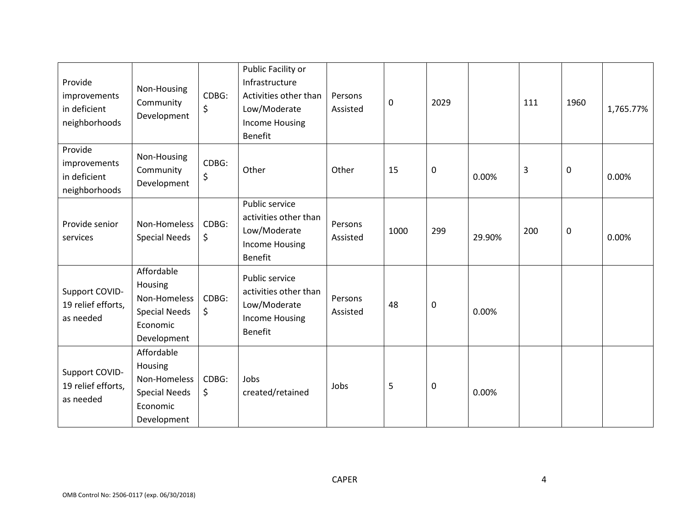| Provide<br>improvements<br>in deficient<br>neighborhoods | Non-Housing<br>Community<br>Development                                                  | CDBG:<br>\$ | Public Facility or<br>Infrastructure<br>Activities other than<br>Low/Moderate<br><b>Income Housing</b><br>Benefit | Persons<br>Assisted | $\mathbf 0$ | 2029 |        | 111 | 1960 | 1,765.77% |
|----------------------------------------------------------|------------------------------------------------------------------------------------------|-------------|-------------------------------------------------------------------------------------------------------------------|---------------------|-------------|------|--------|-----|------|-----------|
| Provide<br>improvements<br>in deficient<br>neighborhoods | Non-Housing<br>Community<br>Development                                                  | CDBG:<br>\$ | Other                                                                                                             | Other               | 15          | 0    | 0.00%  | 3   | 0    | 0.00%     |
| Provide senior<br>services                               | Non-Homeless<br><b>Special Needs</b>                                                     | CDBG:<br>\$ | Public service<br>activities other than<br>Low/Moderate<br><b>Income Housing</b><br><b>Benefit</b>                | Persons<br>Assisted | 1000        | 299  | 29.90% | 200 | 0    | 0.00%     |
| Support COVID-<br>19 relief efforts,<br>as needed        | Affordable<br>Housing<br>Non-Homeless<br><b>Special Needs</b><br>Economic<br>Development | CDBG:<br>\$ | Public service<br>activities other than<br>Low/Moderate<br><b>Income Housing</b><br><b>Benefit</b>                | Persons<br>Assisted | 48          | 0    | 0.00%  |     |      |           |
| Support COVID-<br>19 relief efforts,<br>as needed        | Affordable<br>Housing<br>Non-Homeless<br><b>Special Needs</b><br>Economic<br>Development | CDBG:<br>\$ | Jobs<br>created/retained                                                                                          | Jobs                | 5           | 0    | 0.00%  |     |      |           |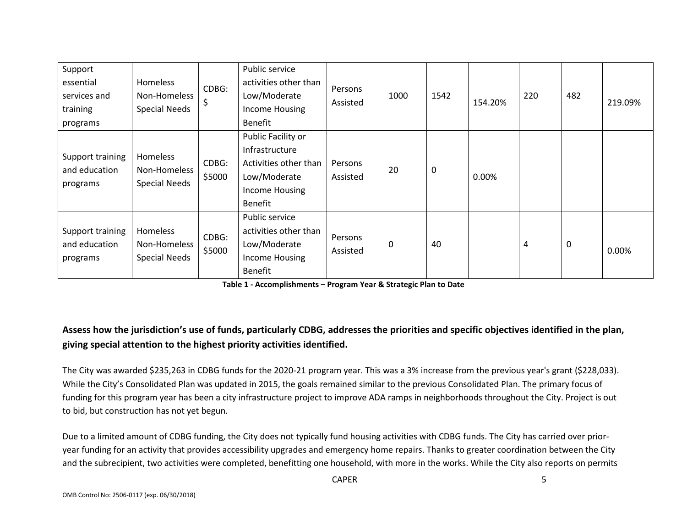| Support<br>essential<br>services and<br>training<br>programs | Homeless<br>Non-Homeless<br><b>Special Needs</b> | CDBG:<br>\$     | Public service<br>activities other than<br>Low/Moderate<br><b>Income Housing</b><br><b>Benefit</b>                       | Persons<br>Assisted | 1000        | 1542      | 154.20% | 220 | 482 | 219.09% |
|--------------------------------------------------------------|--------------------------------------------------|-----------------|--------------------------------------------------------------------------------------------------------------------------|---------------------|-------------|-----------|---------|-----|-----|---------|
| Support training<br>and education<br>programs                | Homeless<br>Non-Homeless<br><b>Special Needs</b> | CDBG:<br>\$5000 | Public Facility or<br>Infrastructure<br>Activities other than<br>Low/Moderate<br><b>Income Housing</b><br><b>Benefit</b> | Persons<br>Assisted | 20          | $\pmb{0}$ | 0.00%   |     |     |         |
| Support training<br>and education<br>programs                | Homeless<br>Non-Homeless<br><b>Special Needs</b> | CDBG:<br>\$5000 | Public service<br>activities other than<br>Low/Moderate<br><b>Income Housing</b><br><b>Benefit</b>                       | Persons<br>Assisted | $\mathbf 0$ | 40        |         | 4   | 0   | 0.00%   |

**Table 1 - Accomplishments – Program Year & Strategic Plan to Date**

# **Assess how the jurisdiction's use of funds, particularly CDBG, addresses the priorities and specific objectives identified in the plan, giving special attention to the highest priority activities identified.**

The City was awarded \$235,263 in CDBG funds for the 2020-21 program year. This was a 3% increase from the previous year's grant (\$228,033). While the City's Consolidated Plan was updated in 2015, the goals remained similar to the previous Consolidated Plan. The primary focus of funding for this program year has been a city infrastructure project to improve ADA ramps in neighborhoods throughout the City. Project is out to bid, but construction has not yet begun.

Due to a limited amount of CDBG funding, the City does not typically fund housing activities with CDBG funds. The City has carried over prioryear funding for an activity that provides accessibility upgrades and emergency home repairs. Thanks to greater coordination between the City and the subrecipient, two activities were completed, benefitting one household, with more in the works. While the City also reports on permits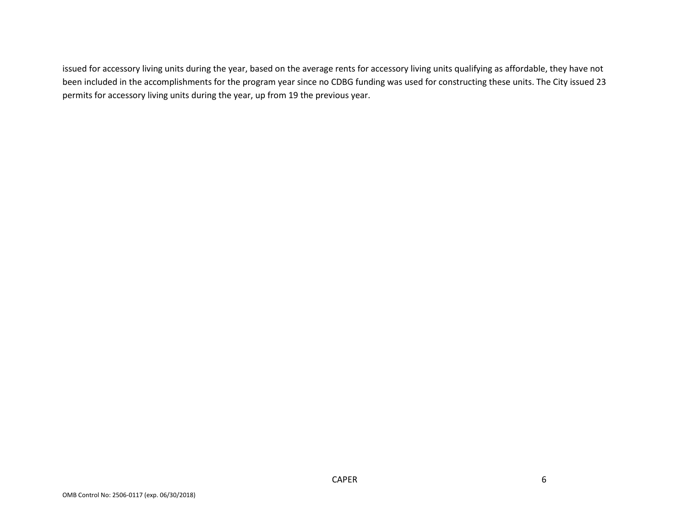issued for accessory living units during the year, based on the average rents for accessory living units qualifying as affordable, they have not been included in the accomplishments for the program year since no CDBG funding was used for constructing these units. The City issued 23 permits for accessory living units during the year, up from 19 the previous year.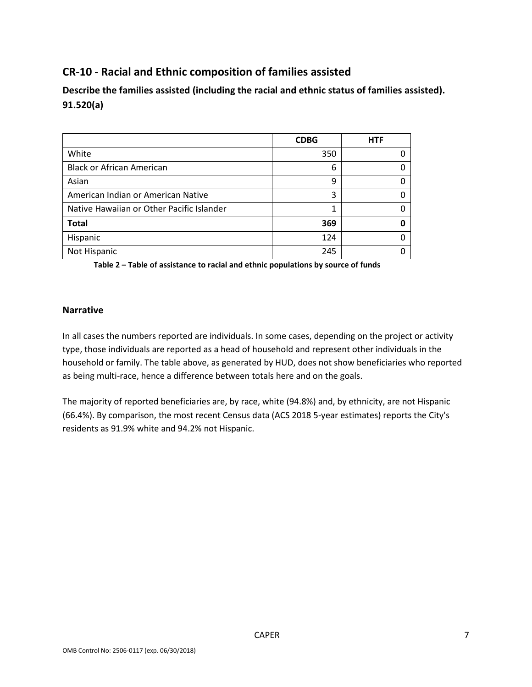# **CR-10 - Racial and Ethnic composition of families assisted**

**Describe the families assisted (including the racial and ethnic status of families assisted). 91.520(a)** 

|                                           | <b>CDBG</b> | <b>HTF</b> |
|-------------------------------------------|-------------|------------|
| White                                     | 350         |            |
| <b>Black or African American</b>          | 6           |            |
| Asian                                     | 9           |            |
| American Indian or American Native        | 3           |            |
| Native Hawaiian or Other Pacific Islander | 1           |            |
| <b>Total</b>                              | 369         |            |
| Hispanic                                  | 124         |            |
| Not Hispanic                              | 245         |            |

**Table 2 – Table of assistance to racial and ethnic populations by source of funds**

#### **Narrative**

In all cases the numbers reported are individuals. In some cases, depending on the project or activity type, those individuals are reported as a head of household and represent other individuals in the household or family. The table above, as generated by HUD, does not show beneficiaries who reported as being multi-race, hence a difference between totals here and on the goals.

The majority of reported beneficiaries are, by race, white (94.8%) and, by ethnicity, are not Hispanic (66.4%). By comparison, the most recent Census data (ACS 2018 5-year estimates) reports the City's residents as 91.9% white and 94.2% not Hispanic.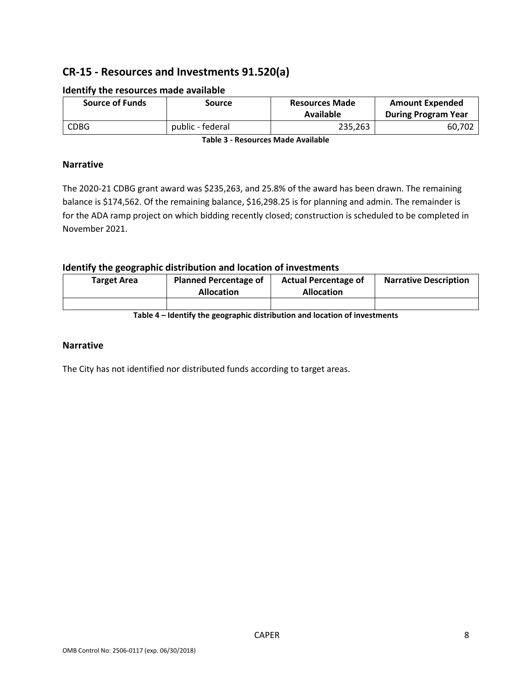# **CR-15 - Resources and Investments 91.520(a)**

| <b>Source of Funds</b> | Source           | <b>Resources Made</b><br>Available | <b>Amount Expended</b><br><b>During Program Year</b> |
|------------------------|------------------|------------------------------------|------------------------------------------------------|
| <b>CDBG</b>            | public - federal | 235,263                            | 60.702                                               |

#### **Identify the resources made available**

**Table 3 - Resources Made Available**

#### **Narrative**

The 2020-21 CDBG grant award was \$235,263, and 25.8% of the award has been drawn. The remaining balance is \$174,562. Of the remaining balance, \$16,298.25 is for planning and admin. The remainder is for the ADA ramp project on which bidding recently closed; construction is scheduled to be completed in November 2021.

#### **Identify the geographic distribution and location of investments**

| Target Area | <b>Planned Percentage of</b><br><b>Allocation</b> | <b>Actual Percentage of</b><br><b>Allocation</b> | <b>Narrative Description</b> |
|-------------|---------------------------------------------------|--------------------------------------------------|------------------------------|
|             |                                                   |                                                  |                              |

**Table 4 – Identify the geographic distribution and location of investments**

#### **Narrative**

The City has not identified nor distributed funds according to target areas.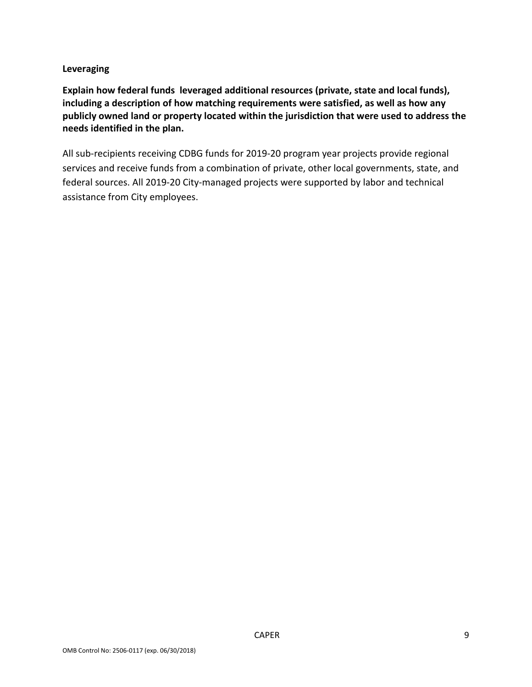#### **Leveraging**

**Explain how federal funds leveraged additional resources (private, state and local funds), including a description of how matching requirements were satisfied, as well as how any publicly owned land or property located within the jurisdiction that were used to address the needs identified in the plan.**

All sub-recipients receiving CDBG funds for 2019-20 program year projects provide regional services and receive funds from a combination of private, other local governments, state, and federal sources. All 2019-20 City-managed projects were supported by labor and technical assistance from City employees.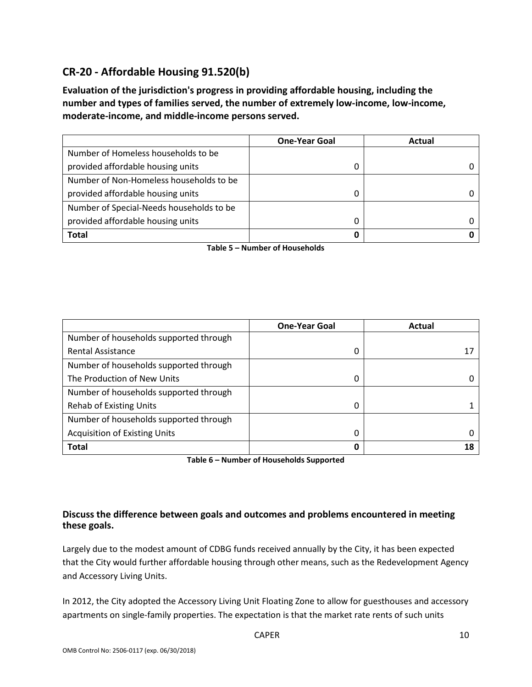# **CR-20 - Affordable Housing 91.520(b)**

**Evaluation of the jurisdiction's progress in providing affordable housing, including the number and types of families served, the number of extremely low-income, low-income, moderate-income, and middle-income persons served.**

|                                          | <b>One-Year Goal</b> | Actual |
|------------------------------------------|----------------------|--------|
| Number of Homeless households to be      |                      |        |
| provided affordable housing units        |                      |        |
| Number of Non-Homeless households to be  |                      |        |
| provided affordable housing units        | 0                    |        |
| Number of Special-Needs households to be |                      |        |
| provided affordable housing units        |                      |        |
| <b>Total</b>                             | 0                    |        |

**Table 5 – Number of Households**

|                                        | <b>One-Year Goal</b> | Actual |
|----------------------------------------|----------------------|--------|
| Number of households supported through |                      |        |
| <b>Rental Assistance</b>               | 0                    | 17     |
| Number of households supported through |                      |        |
| The Production of New Units            | 0                    |        |
| Number of households supported through |                      |        |
| <b>Rehab of Existing Units</b>         | 0                    |        |
| Number of households supported through |                      |        |
| <b>Acquisition of Existing Units</b>   | 0                    |        |
| <b>Total</b>                           | 0                    | 18     |

**Table 6 – Number of Households Supported**

#### **Discuss the difference between goals and outcomes and problems encountered in meeting these goals.**

Largely due to the modest amount of CDBG funds received annually by the City, it has been expected that the City would further affordable housing through other means, such as the Redevelopment Agency and Accessory Living Units.

In 2012, the City adopted the Accessory Living Unit Floating Zone to allow for guesthouses and accessory apartments on single-family properties. The expectation is that the market rate rents of such units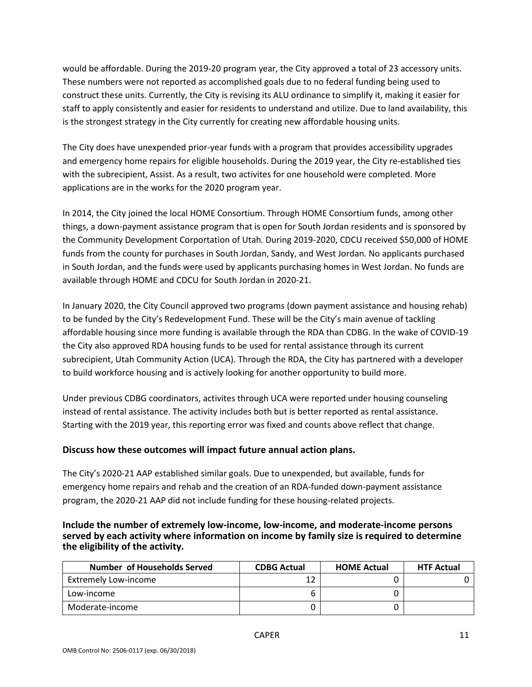would be affordable. During the 2019-20 program year, the City approved a total of 23 accessory units. These numbers were not reported as accomplished goals due to no federal funding being used to construct these units. Currently, the City is revising its ALU ordinance to simplify it, making it easier for staff to apply consistently and easier for residents to understand and utilize. Due to land availability, this is the strongest strategy in the City currently for creating new affordable housing units.

The City does have unexpended prior-year funds with a program that provides accessibility upgrades and emergency home repairs for eligible households. During the 2019 year, the City re-established ties with the subrecipient, Assist. As a result, two activites for one household were completed. More applications are in the works for the 2020 program year.

In 2014, the City joined the local HOME Consortium. Through HOME Consortium funds, among other things, a down-payment assistance program that is open for South Jordan residents and is sponsored by the Community Development Corportation of Utah. During 2019-2020, CDCU received \$50,000 of HOME funds from the county for purchases in South Jordan, Sandy, and West Jordan. No applicants purchased in South Jordan, and the funds were used by applicants purchasing homes in West Jordan. No funds are available through HOME and CDCU for South Jordan in 2020-21.

In January 2020, the City Council approved two programs (down payment assistance and housing rehab) to be funded by the City's Redevelopment Fund. These will be the City's main avenue of tackling affordable housing since more funding is available through the RDA than CDBG. In the wake of COVID-19 the City also approved RDA housing funds to be used for rental assistance through its current subrecipient, Utah Community Action (UCA). Through the RDA, the City has partnered with a developer to build workforce housing and is actively looking for another opportunity to build more.

Under previous CDBG coordinators, activites through UCA were reported under housing counseling instead of rental assistance. The activity includes both but is better reported as rental assistance. Starting with the 2019 year, this reporting error was fixed and counts above reflect that change.

#### **Discuss how these outcomes will impact future annual action plans.**

The City's 2020-21 AAP established similar goals. Due to unexpended, but available, funds for emergency home repairs and rehab and the creation of an RDA-funded down-payment assistance program, the 2020-21 AAP did not include funding for these housing-related projects.

**Include the number of extremely low-income, low-income, and moderate-income persons served by each activity where information on income by family size is required to determine the eligibility of the activity.**

| Number of Households Served | <b>CDBG Actual</b> | <b>HOME Actual</b> | <b>HTF Actual</b> |
|-----------------------------|--------------------|--------------------|-------------------|
| <b>Extremely Low-income</b> |                    |                    |                   |
| Low-income                  |                    |                    |                   |
| Moderate-income             |                    |                    |                   |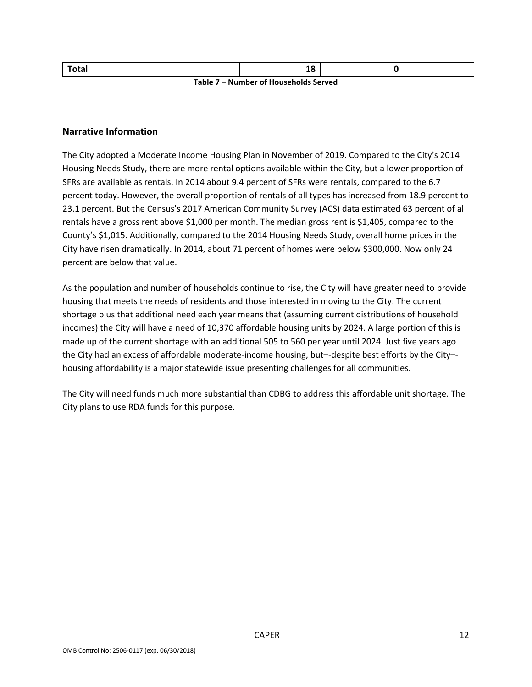| Total                                      | ЖC |  |  |  |  |  |  |
|--------------------------------------------|----|--|--|--|--|--|--|
| Table 7<br>/ – Number of Households Served |    |  |  |  |  |  |  |

#### **Narrative Information**

The City adopted a Moderate Income Housing Plan in November of 2019. Compared to the City's 2014 Housing Needs Study, there are more rental options available within the City, but a lower proportion of SFRs are available as rentals. In 2014 about 9.4 percent of SFRs were rentals, compared to the 6.7 percent today. However, the overall proportion of rentals of all types has increased from 18.9 percent to 23.1 percent. But the Census's 2017 American Community Survey (ACS) data estimated 63 percent of all rentals have a gross rent above \$1,000 per month. The median gross rent is \$1,405, compared to the County's \$1,015. Additionally, compared to the 2014 Housing Needs Study, overall home prices in the City have risen dramatically. In 2014, about 71 percent of homes were below \$300,000. Now only 24 percent are below that value.

As the population and number of households continue to rise, the City will have greater need to provide housing that meets the needs of residents and those interested in moving to the City. The current shortage plus that additional need each year means that (assuming current distributions of household incomes) the City will have a need of 10,370 affordable housing units by 2024. A large portion of this is made up of the current shortage with an additional 505 to 560 per year until 2024. Just five years ago the City had an excess of affordable moderate-income housing, but–-despite best efforts by the City– housing affordability is a major statewide issue presenting challenges for all communities.

The City will need funds much more substantial than CDBG to address this affordable unit shortage. The City plans to use RDA funds for this purpose.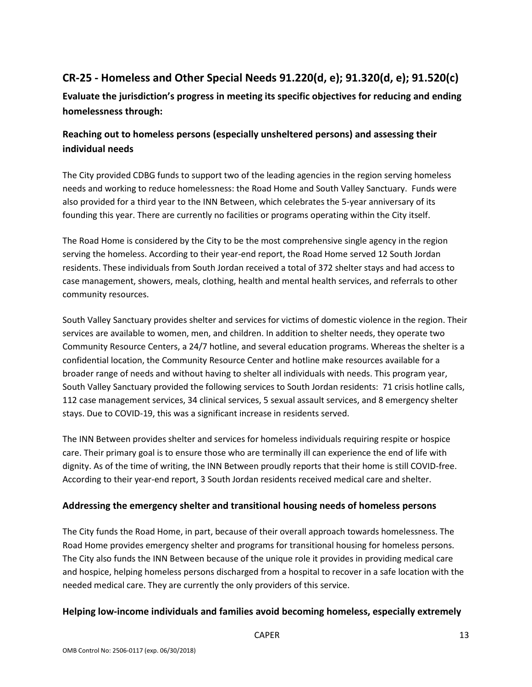# **CR-25 - Homeless and Other Special Needs 91.220(d, e); 91.320(d, e); 91.520(c)**

**Evaluate the jurisdiction's progress in meeting its specific objectives for reducing and ending homelessness through:**

# **Reaching out to homeless persons (especially unsheltered persons) and assessing their individual needs**

The City provided CDBG funds to support two of the leading agencies in the region serving homeless needs and working to reduce homelessness: the Road Home and South Valley Sanctuary. Funds were also provided for a third year to the INN Between, which celebrates the 5-year anniversary of its founding this year. There are currently no facilities or programs operating within the City itself.

The Road Home is considered by the City to be the most comprehensive single agency in the region serving the homeless. According to their year-end report, the Road Home served 12 South Jordan residents. These individuals from South Jordan received a total of 372 shelter stays and had access to case management, showers, meals, clothing, health and mental health services, and referrals to other community resources.

South Valley Sanctuary provides shelter and services for victims of domestic violence in the region. Their services are available to women, men, and children. In addition to shelter needs, they operate two Community Resource Centers, a 24/7 hotline, and several education programs. Whereas the shelter is a confidential location, the Community Resource Center and hotline make resources available for a broader range of needs and without having to shelter all individuals with needs. This program year, South Valley Sanctuary provided the following services to South Jordan residents: 71 crisis hotline calls, 112 case management services, 34 clinical services, 5 sexual assault services, and 8 emergency shelter stays. Due to COVID-19, this was a significant increase in residents served.

The INN Between provides shelter and services for homeless individuals requiring respite or hospice care. Their primary goal is to ensure those who are terminally ill can experience the end of life with dignity. As of the time of writing, the INN Between proudly reports that their home is still COVID-free. According to their year-end report, 3 South Jordan residents received medical care and shelter.

#### **Addressing the emergency shelter and transitional housing needs of homeless persons**

The City funds the Road Home, in part, because of their overall approach towards homelessness. The Road Home provides emergency shelter and programs for transitional housing for homeless persons. The City also funds the INN Between because of the unique role it provides in providing medical care and hospice, helping homeless persons discharged from a hospital to recover in a safe location with the needed medical care. They are currently the only providers of this service.

#### **Helping low-income individuals and families avoid becoming homeless, especially extremely**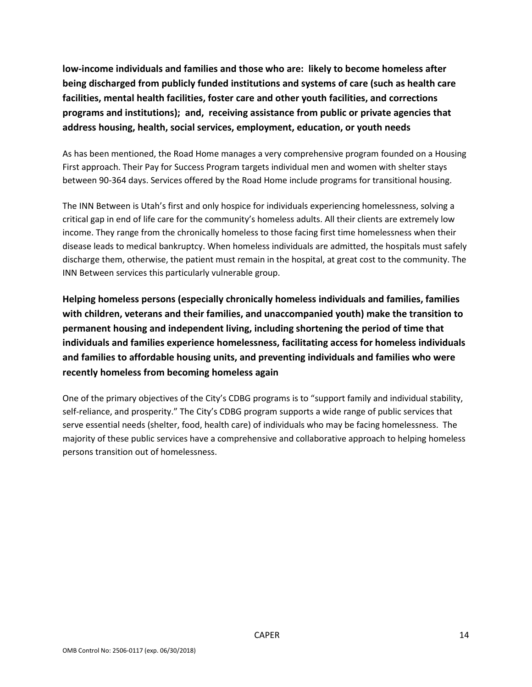**low-income individuals and families and those who are: likely to become homeless after being discharged from publicly funded institutions and systems of care (such as health care facilities, mental health facilities, foster care and other youth facilities, and corrections programs and institutions); and, receiving assistance from public or private agencies that address housing, health, social services, employment, education, or youth needs**

As has been mentioned, the Road Home manages a very comprehensive program founded on a Housing First approach. Their Pay for Success Program targets individual men and women with shelter stays between 90-364 days. Services offered by the Road Home include programs for transitional housing.

The INN Between is Utah's first and only hospice for individuals experiencing homelessness, solving a critical gap in end of life care for the community's homeless adults. All their clients are extremely low income. They range from the chronically homeless to those facing first time homelessness when their disease leads to medical bankruptcy. When homeless individuals are admitted, the hospitals must safely discharge them, otherwise, the patient must remain in the hospital, at great cost to the community. The INN Between services this particularly vulnerable group.

**Helping homeless persons (especially chronically homeless individuals and families, families with children, veterans and their families, and unaccompanied youth) make the transition to permanent housing and independent living, including shortening the period of time that individuals and families experience homelessness, facilitating access for homeless individuals and families to affordable housing units, and preventing individuals and families who were recently homeless from becoming homeless again**

One of the primary objectives of the City's CDBG programs is to "support family and individual stability, self-reliance, and prosperity." The City's CDBG program supports a wide range of public services that serve essential needs (shelter, food, health care) of individuals who may be facing homelessness. The majority of these public services have a comprehensive and collaborative approach to helping homeless persons transition out of homelessness.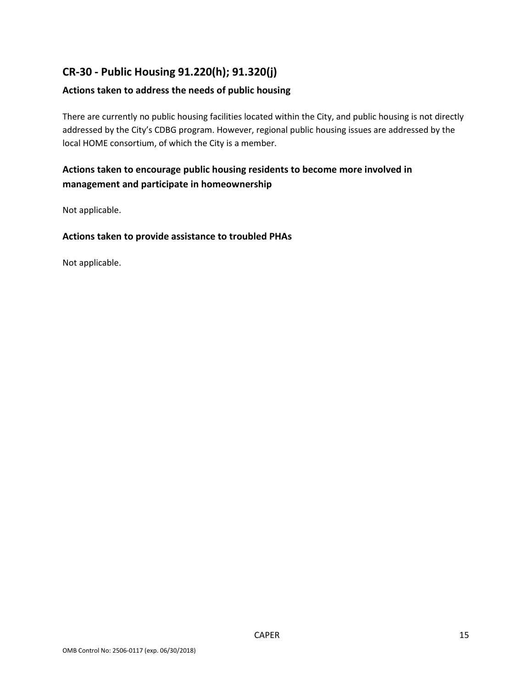# **CR-30 - Public Housing 91.220(h); 91.320(j)**

#### **Actions taken to address the needs of public housing**

There are currently no public housing facilities located within the City, and public housing is not directly addressed by the City's CDBG program. However, regional public housing issues are addressed by the local HOME consortium, of which the City is a member.

### **Actions taken to encourage public housing residents to become more involved in management and participate in homeownership**

Not applicable.

#### **Actions taken to provide assistance to troubled PHAs**

Not applicable.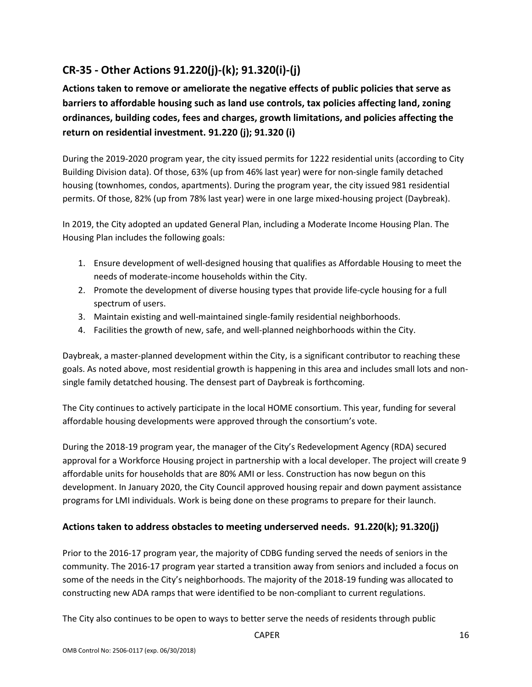# **CR-35 - Other Actions 91.220(j)-(k); 91.320(i)-(j)**

**Actions taken to remove or ameliorate the negative effects of public policies that serve as barriers to affordable housing such as land use controls, tax policies affecting land, zoning ordinances, building codes, fees and charges, growth limitations, and policies affecting the return on residential investment. 91.220 (j); 91.320 (i)**

During the 2019-2020 program year, the city issued permits for 1222 residential units (according to City Building Division data). Of those, 63% (up from 46% last year) were for non-single family detached housing (townhomes, condos, apartments). During the program year, the city issued 981 residential permits. Of those, 82% (up from 78% last year) were in one large mixed-housing project (Daybreak).

In 2019, the City adopted an updated General Plan, including a Moderate Income Housing Plan. The Housing Plan includes the following goals:

- 1. Ensure development of well-designed housing that qualifies as Affordable Housing to meet the needs of moderate-income households within the City.
- 2. Promote the development of diverse housing types that provide life-cycle housing for a full spectrum of users.
- 3. Maintain existing and well-maintained single-family residential neighborhoods.
- 4. Facilities the growth of new, safe, and well-planned neighborhoods within the City.

Daybreak, a master-planned development within the City, is a significant contributor to reaching these goals. As noted above, most residential growth is happening in this area and includes small lots and nonsingle family detatched housing. The densest part of Daybreak is forthcoming.

The City continues to actively participate in the local HOME consortium. This year, funding for several affordable housing developments were approved through the consortium's vote.

During the 2018-19 program year, the manager of the City's Redevelopment Agency (RDA) secured approval for a Workforce Housing project in partnership with a local developer. The project will create 9 affordable units for households that are 80% AMI or less. Construction has now begun on this development. In January 2020, the City Council approved housing repair and down payment assistance programs for LMI individuals. Work is being done on these programs to prepare for their launch.

#### **Actions taken to address obstacles to meeting underserved needs. 91.220(k); 91.320(j)**

Prior to the 2016-17 program year, the majority of CDBG funding served the needs of seniors in the community. The 2016-17 program year started a transition away from seniors and included a focus on some of the needs in the City's neighborhoods. The majority of the 2018-19 funding was allocated to constructing new ADA ramps that were identified to be non-compliant to current regulations.

The City also continues to be open to ways to better serve the needs of residents through public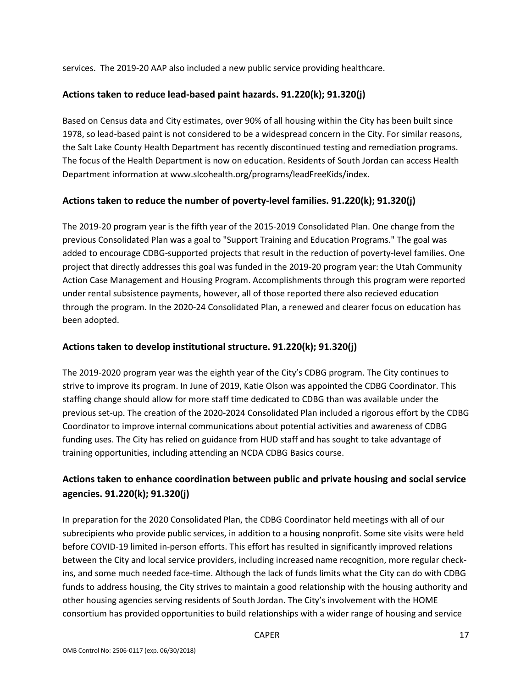services. The 2019-20 AAP also included a new public service providing healthcare.

#### **Actions taken to reduce lead-based paint hazards. 91.220(k); 91.320(j)**

Based on Census data and City estimates, over 90% of all housing within the City has been built since 1978, so lead-based paint is not considered to be a widespread concern in the City. For similar reasons, the Salt Lake County Health Department has recently discontinued testing and remediation programs. The focus of the Health Department is now on education. Residents of South Jordan can access Health Department information at www.slcohealth.org/programs/leadFreeKids/index.

#### **Actions taken to reduce the number of poverty-level families. 91.220(k); 91.320(j)**

The 2019-20 program year is the fifth year of the 2015-2019 Consolidated Plan. One change from the previous Consolidated Plan was a goal to "Support Training and Education Programs." The goal was added to encourage CDBG-supported projects that result in the reduction of poverty-level families. One project that directly addresses this goal was funded in the 2019-20 program year: the Utah Community Action Case Management and Housing Program. Accomplishments through this program were reported under rental subsistence payments, however, all of those reported there also recieved education through the program. In the 2020-24 Consolidated Plan, a renewed and clearer focus on education has been adopted.

#### **Actions taken to develop institutional structure. 91.220(k); 91.320(j)**

The 2019-2020 program year was the eighth year of the City's CDBG program. The City continues to strive to improve its program. In June of 2019, Katie Olson was appointed the CDBG Coordinator. This staffing change should allow for more staff time dedicated to CDBG than was available under the previous set-up. The creation of the 2020-2024 Consolidated Plan included a rigorous effort by the CDBG Coordinator to improve internal communications about potential activities and awareness of CDBG funding uses. The City has relied on guidance from HUD staff and has sought to take advantage of training opportunities, including attending an NCDA CDBG Basics course.

# **Actions taken to enhance coordination between public and private housing and social service agencies. 91.220(k); 91.320(j)**

In preparation for the 2020 Consolidated Plan, the CDBG Coordinator held meetings with all of our subrecipients who provide public services, in addition to a housing nonprofit. Some site visits were held before COVID-19 limited in-person efforts. This effort has resulted in significantly improved relations between the City and local service providers, including increased name recognition, more regular checkins, and some much needed face-time. Although the lack of funds limits what the City can do with CDBG funds to address housing, the City strives to maintain a good relationship with the housing authority and other housing agencies serving residents of South Jordan. The City's involvement with the HOME consortium has provided opportunities to build relationships with a wider range of housing and service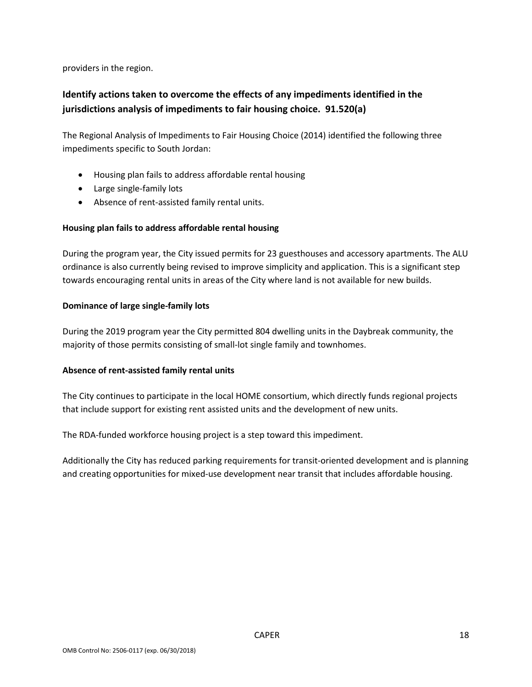providers in the region.

# **Identify actions taken to overcome the effects of any impediments identified in the jurisdictions analysis of impediments to fair housing choice. 91.520(a)**

The Regional Analysis of Impediments to Fair Housing Choice (2014) identified the following three impediments specific to South Jordan:

- Housing plan fails to address affordable rental housing
- Large single-family lots
- Absence of rent-assisted family rental units.

#### **Housing plan fails to address affordable rental housing**

During the program year, the City issued permits for 23 guesthouses and accessory apartments. The ALU ordinance is also currently being revised to improve simplicity and application. This is a significant step towards encouraging rental units in areas of the City where land is not available for new builds.

#### **Dominance of large single-family lots**

During the 2019 program year the City permitted 804 dwelling units in the Daybreak community, the majority of those permits consisting of small-lot single family and townhomes.

#### **Absence of rent-assisted family rental units**

The City continues to participate in the local HOME consortium, which directly funds regional projects that include support for existing rent assisted units and the development of new units.

The RDA-funded workforce housing project is a step toward this impediment.

Additionally the City has reduced parking requirements for transit-oriented development and is planning and creating opportunities for mixed-use development near transit that includes affordable housing.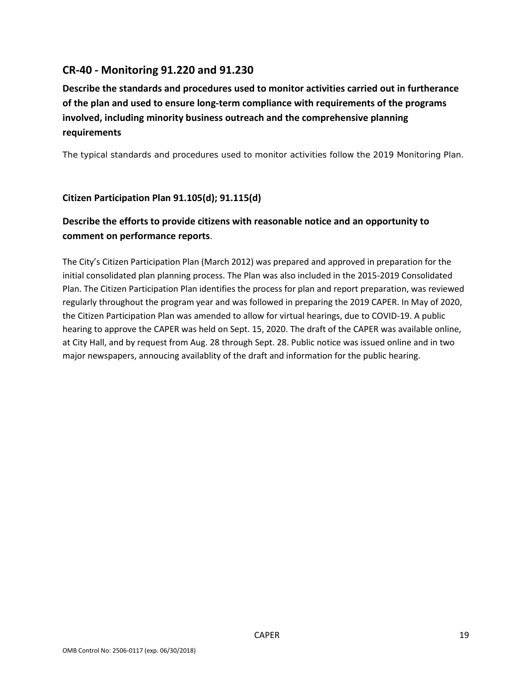# **CR-40 - Monitoring 91.220 and 91.230**

# **Describe the standards and procedures used to monitor activities carried out in furtherance of the plan and used to ensure long-term compliance with requirements of the programs involved, including minority business outreach and the comprehensive planning requirements**

The typical standards and procedures used to monitor activities follow the 2019 Monitoring Plan.

#### **Citizen Participation Plan 91.105(d); 91.115(d)**

# **Describe the efforts to provide citizens with reasonable notice and an opportunity to comment on performance reports**.

The City's Citizen Participation Plan (March 2012) was prepared and approved in preparation for the initial consolidated plan planning process. The Plan was also included in the 2015-2019 Consolidated Plan. The Citizen Participation Plan identifies the process for plan and report preparation, was reviewed regularly throughout the program year and was followed in preparing the 2019 CAPER. In May of 2020, the Citizen Participation Plan was amended to allow for virtual hearings, due to COVID-19. A public hearing to approve the CAPER was held on Sept. 15, 2020. The draft of the CAPER was available online, at City Hall, and by request from Aug. 28 through Sept. 28. Public notice was issued online and in two major newspapers, annoucing availablity of the draft and information for the public hearing.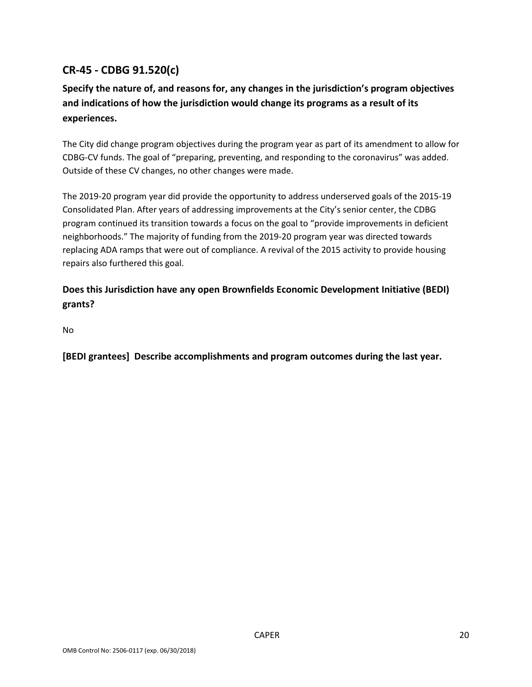# **CR-45 - CDBG 91.520(c)**

# **Specify the nature of, and reasons for, any changes in the jurisdiction's program objectives and indications of how the jurisdiction would change its programs as a result of its experiences.**

The City did change program objectives during the program year as part of its amendment to allow for CDBG-CV funds. The goal of "preparing, preventing, and responding to the coronavirus" was added. Outside of these CV changes, no other changes were made.

The 2019-20 program year did provide the opportunity to address underserved goals of the 2015-19 Consolidated Plan. After years of addressing improvements at the City's senior center, the CDBG program continued its transition towards a focus on the goal to "provide improvements in deficient neighborhoods." The majority of funding from the 2019-20 program year was directed towards replacing ADA ramps that were out of compliance. A revival of the 2015 activity to provide housing repairs also furthered this goal.

### **Does this Jurisdiction have any open Brownfields Economic Development Initiative (BEDI) grants?**

No

**[BEDI grantees] Describe accomplishments and program outcomes during the last year.**